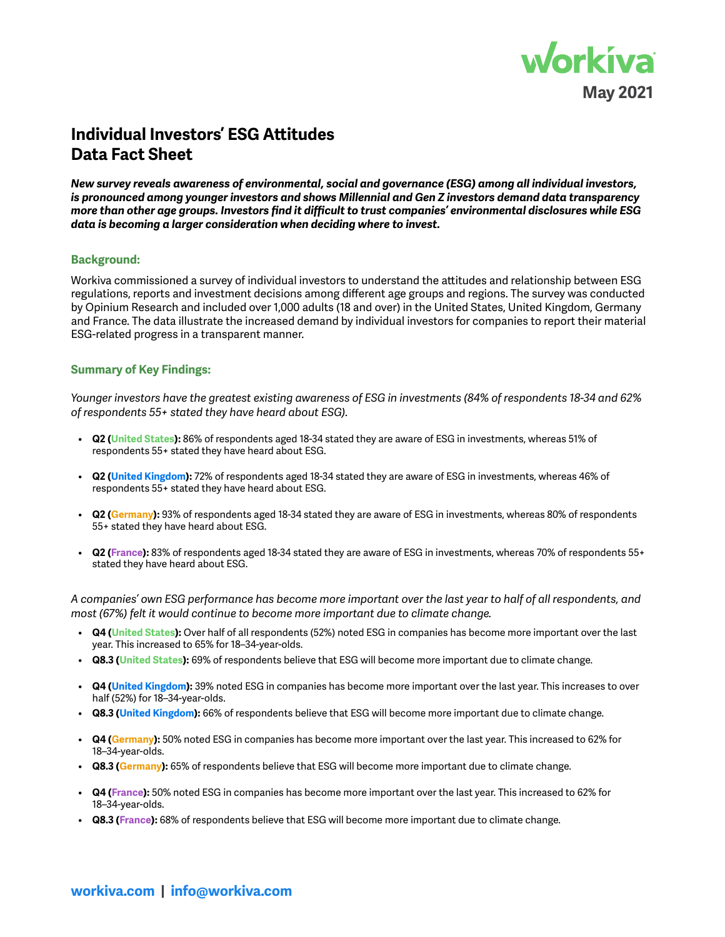

# **Individual Investors' ESG Attitudes Data Fact Sheet**

*New survey reveals awareness of environmental, social and governance (ESG) among all individual investors, is pronounced among younger investors and shows Millennial and Gen Z investors demand data transparency more than other age groups. Investors find it difficult to trust companies' environmental disclosures while ESG data is becoming a larger consideration when deciding where to invest.*

### **Background:**

Workiva commissioned a survey of individual investors to understand the attitudes and relationship between ESG regulations, reports and investment decisions among different age groups and regions. The survey was conducted by Opinium Research and included over 1,000 adults (18 and over) in the United States, United Kingdom, Germany and France. The data illustrate the increased demand by individual investors for companies to report their material ESG-related progress in a transparent manner.

### **Summary of Key Findings:**

*Younger investors have the greatest existing awareness of ESG in investments (84% of respondents 18-34 and 62% of respondents 55+ stated they have heard about ESG).*

- **Q2 (United States):** 86% of respondents aged 18-34 stated they are aware of ESG in investments, whereas 51% of respondents 55+ stated they have heard about ESG.
- **Q2 (United Kingdom):** 72% of respondents aged 18-34 stated they are aware of ESG in investments, whereas 46% of respondents 55+ stated they have heard about ESG.
- **Q2 (Germany):** 93% of respondents aged 18-34 stated they are aware of ESG in investments, whereas 80% of respondents 55+ stated they have heard about ESG.
- **Q2 (France):** 83% of respondents aged 18-34 stated they are aware of ESG in investments, whereas 70% of respondents 55+ stated they have heard about ESG.

*A companies' own ESG performance has become more important over the last year to half of all respondents, and most (67%) felt it would continue to become more important due to climate change.* 

- **Q4 (United States):** Over half of all respondents (52%) noted ESG in companies has become more important over the last year. This increased to 65% for 18–34-year-olds.
- **Q8.3 (United States):** 69% of respondents believe that ESG will become more important due to climate change.
- **Q4 (United Kingdom):** 39% noted ESG in companies has become more important over the last year. This increases to over half (52%) for 18–34-year-olds.
- **Q8.3 (United Kingdom):** 66% of respondents believe that ESG will become more important due to climate change.
- **Q4 (Germany):** 50% noted ESG in companies has become more important over the last year. This increased to 62% for 18–34-year-olds.
- **Q8.3 (Germany):** 65% of respondents believe that ESG will become more important due to climate change.
- **Q4 (France):** 50% noted ESG in companies has become more important over the last year. This increased to 62% for 18–34-year-olds.
- **Q8.3 (France):** 68% of respondents believe that ESG will become more important due to climate change.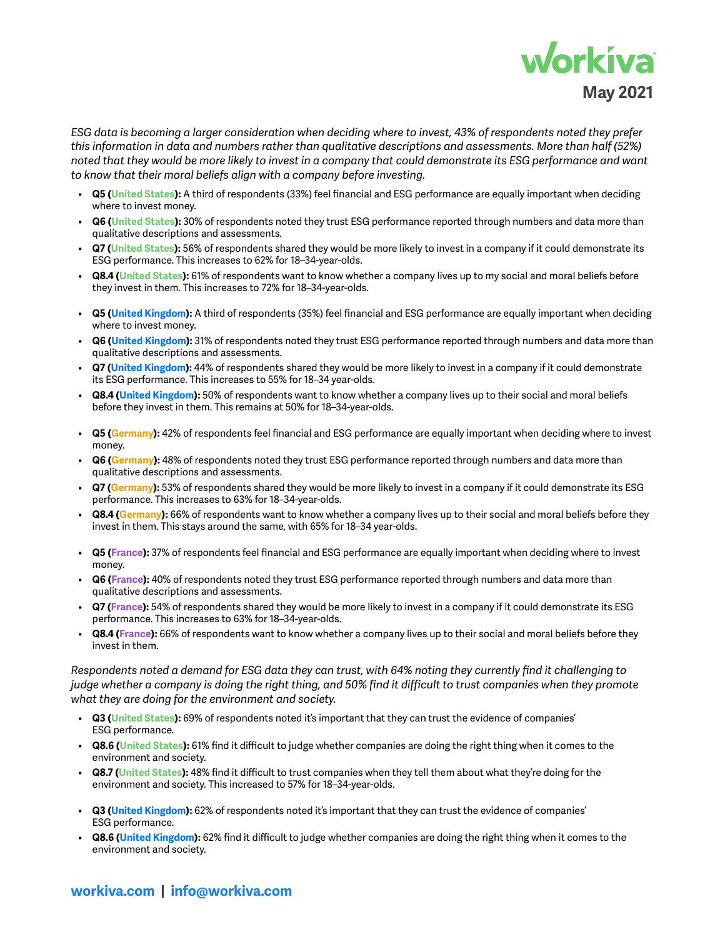

*ESG data is becoming a larger consideration when deciding where to invest, 43% of respondents noted they prefer this information in data and numbers rather than qualitative descriptions and assessments. More than half (52%) noted that they would be more likely to invest in a company that could demonstrate its ESG performance and want to know that their moral beliefs align with a company before investing.* 

- **Q5 (United States):** A third of respondents (33%) feel financial and ESG performance are equally important when deciding where to invest money.
- **Q6 (United States):** 30% of respondents noted they trust ESG performance reported through numbers and data more than qualitative descriptions and assessments.
- **Q7 (United States):** 56% of respondents shared they would be more likely to invest in a company if it could demonstrate its ESG performance. This increases to 62% for 18–34-year-olds.
- **Q8.4 (United States):** 61% of respondents want to know whether a company lives up to my social and moral beliefs before they invest in them. This increases to 72% for 18–34-year-olds.
- **Q5 (United Kingdom):** A third of respondents (35%) feel financial and ESG performance are equally important when deciding where to invest money.
- **Q6 (United Kingdom):** 31% of respondents noted they trust ESG performance reported through numbers and data more than qualitative descriptions and assessments.
- **Q7 (United Kingdom):** 44% of respondents shared they would be more likely to invest in a company if it could demonstrate its ESG performance. This increases to 55% for 18–34 year-olds.
- **Q8.4 (United Kingdom):** 50% of respondents want to know whether a company lives up to their social and moral beliefs before they invest in them. This remains at 50% for 18–34-year-olds.
- **Q5 (Germany):** 42% of respondents feel financial and ESG performance are equally important when deciding where to invest money.
- **Q6 (Germany):** 48% of respondents noted they trust ESG performance reported through numbers and data more than qualitative descriptions and assessments.
- **Q7 (Germany):** 53% of respondents shared they would be more likely to invest in a company if it could demonstrate its ESG performance. This increases to 63% for 18–34-year-olds.
- **Q8.4 (Germany):** 66% of respondents want to know whether a company lives up to their social and moral beliefs before they invest in them. This stays around the same, with 65% for 18–34 year-olds.
- **Q5 (France):** 37% of respondents feel financial and ESG performance are equally important when deciding where to invest money.
- **Q6 (France):** 40% of respondents noted they trust ESG performance reported through numbers and data more than qualitative descriptions and assessments.
- **Q7 (France):** 54% of respondents shared they would be more likely to invest in a company if it could demonstrate its ESG performance. This increases to 63% for 18–34-year-olds.
- **Q8.4 (France):** 66% of respondents want to know whether a company lives up to their social and moral beliefs before they invest in them.

*Respondents noted a demand for ESG data they can trust, with 64% noting they currently find it challenging to judge whether a company is doing the right thing, and 50% find it difficult to trust companies when they promote what they are doing for the environment and society.* 

- **Q3 (United States):** 69% of respondents noted it's important that they can trust the evidence of companies' ESG performance.
- **Q8.6 (United States):** 61% find it difficult to judge whether companies are doing the right thing when it comes to the environment and society.
- **Q8.7 (United States):** 48% find it difficult to trust companies when they tell them about what they're doing for the environment and society. This increased to 57% for 18–34-year-olds.
- **Q3 (United Kingdom):** 62% of respondents noted it's important that they can trust the evidence of companies' ESG performance.
- **Q8.6 (United Kingdom):** 62% find it difficult to judge whether companies are doing the right thing when it comes to the environment and society.

## **[workiva.com](https://www.workiva.com) | [info@workiva.com](mailto:info%40workiva.com?subject=)**